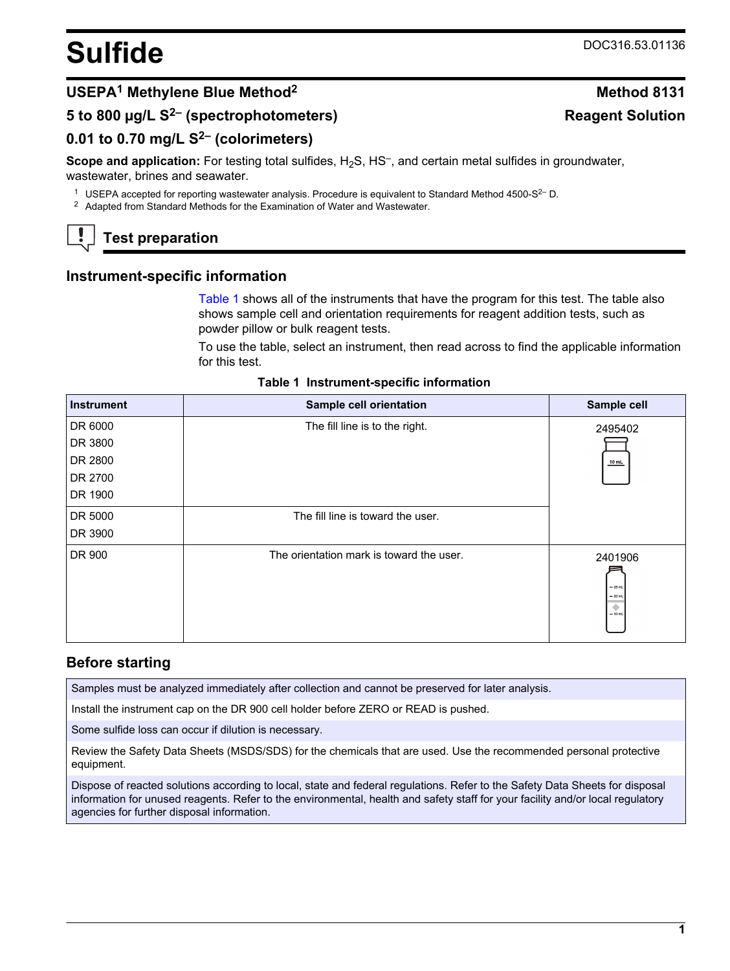# <span id="page-0-0"></span>Sulfide DOC316.53.01136

**Reagent Solution**

## **USEPA<sup>1</sup> Methylene Blue Method<sup>2</sup> Method 8131**

## **5 to 800 µg/L S2– (spectrophotometers)**

## **0.01 to 0.70 mg/L S2– (colorimeters)**

Scope and application: For testing total sulfides, H<sub>2</sub>S, HS<sup>-</sup>, and certain metal sulfides in groundwater, wastewater, brines and seawater.

<sup>1</sup> USEPA accepted for reporting wastewater analysis. Procedure is equivalent to Standard Method 4500-S<sup>2-</sup> D.

<sup>2</sup> Adapted from Standard Methods for the Examination of Water and Wastewater.

# **Test preparation**

#### **Instrument-specific information**

Table 1 shows all of the instruments that have the program for this test. The table also shows sample cell and orientation requirements for reagent addition tests, such as powder pillow or bulk reagent tests.

To use the table, select an instrument, then read across to find the applicable information for this test.

| <b>Instrument</b> | Sample cell orientation                  | Sample cell                                        |
|-------------------|------------------------------------------|----------------------------------------------------|
| DR 6000           | The fill line is to the right.           | 2495402                                            |
| DR 3800           |                                          |                                                    |
| DR 2800           |                                          | 10 mL                                              |
| DR 2700           |                                          |                                                    |
| DR 1900           |                                          |                                                    |
| DR 5000           | The fill line is toward the user.        |                                                    |
| DR 3900           |                                          |                                                    |
| DR 900            | The orientation mark is toward the user. | 2401906<br>$-25$ mL<br>$= 20$ mL<br>۰<br>$= 10$ mL |

#### **Table 1 Instrument-specific information**

#### **Before starting**

Samples must be analyzed immediately after collection and cannot be preserved for later analysis.

Install the instrument cap on the DR 900 cell holder before ZERO or READ is pushed.

Some sulfide loss can occur if dilution is necessary.

Review the Safety Data Sheets (MSDS/SDS) for the chemicals that are used. Use the recommended personal protective equipment.

Dispose of reacted solutions according to local, state and federal regulations. Refer to the Safety Data Sheets for disposal information for unused reagents. Refer to the environmental, health and safety staff for your facility and/or local regulatory agencies for further disposal information.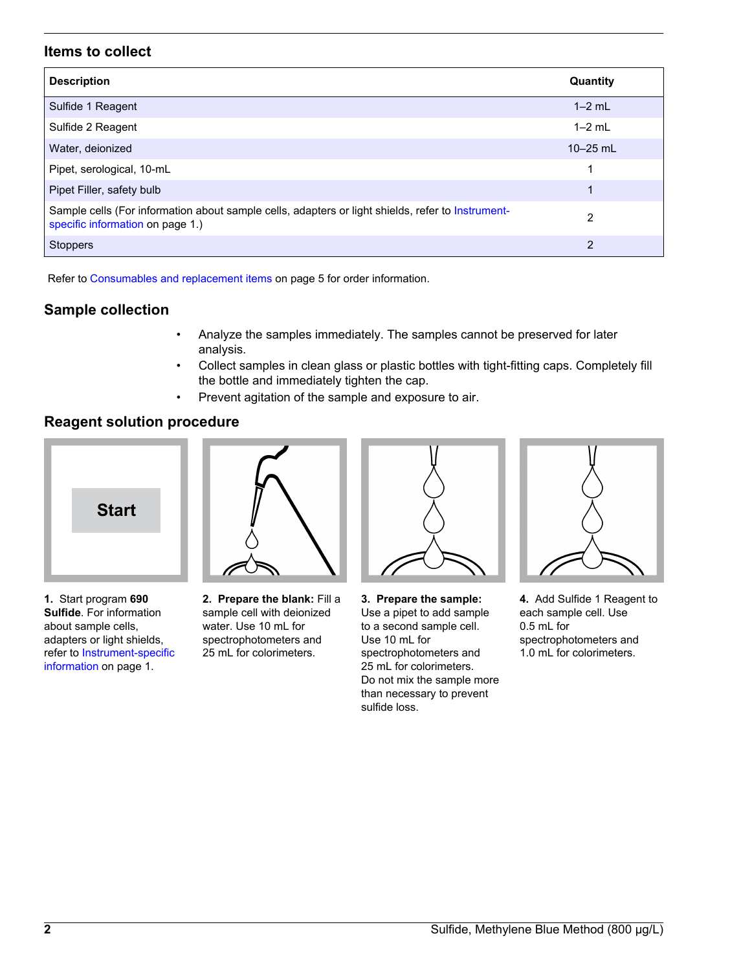#### **Items to collect**

| <b>Description</b>                                                                                                                    | Quantity     |
|---------------------------------------------------------------------------------------------------------------------------------------|--------------|
| Sulfide 1 Reagent                                                                                                                     | $1-2$ mL     |
| Sulfide 2 Reagent                                                                                                                     | $1-2$ mL     |
| Water, deionized                                                                                                                      | $10 - 25$ mL |
| Pipet, serological, 10-mL                                                                                                             | 1            |
| Pipet Filler, safety bulb                                                                                                             | 1            |
| Sample cells (For information about sample cells, adapters or light shields, refer to Instrument-<br>specific information on page 1.) | 2            |
| Stoppers                                                                                                                              | 2            |

Refer to [Consumables and replacement items](#page-4-0) on page 5 for order information.

### **Sample collection**

- Analyze the samples immediately. The samples cannot be preserved for later analysis.
- Collect samples in clean glass or plastic bottles with tight-fitting caps. Completely fill the bottle and immediately tighten the cap.
- Prevent agitation of the sample and exposure to air.

### **Reagent solution procedure**



**1.** Start program **690 Sulfide**. For information about sample cells, adapters or light shields, refer to [Instrument-specific](#page-0-0) [information](#page-0-0) on page 1.



**2. Prepare the blank:** Fill a sample cell with deionized water. Use 10 mL for spectrophotometers and 25 mL for colorimeters.



**3. Prepare the sample:** Use a pipet to add sample to a second sample cell. Use 10 mL for spectrophotometers and 25 mL for colorimeters. Do not mix the sample more than necessary to prevent sulfide loss.



**4.** Add Sulfide 1 Reagent to each sample cell. Use 0.5 mL for spectrophotometers and 1.0 mL for colorimeters.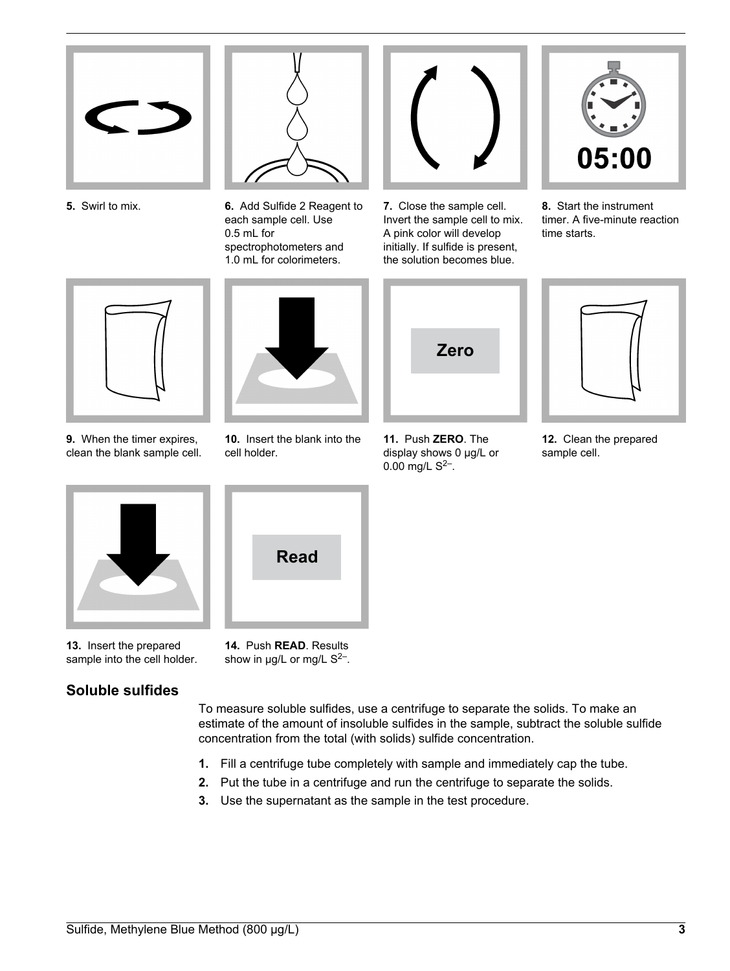



**5.** Swirl to mix. **6.** Add Sulfide 2 Reagent to each sample cell. Use 0.5 mL for spectrophotometers and 1.0 mL for colorimeters.



**7.** Close the sample cell. Invert the sample cell to mix. A pink color will develop initially. If sulfide is present, the solution becomes blue.



**8.** Start the instrument timer. A five-minute reaction time starts.



**9.** When the timer expires, clean the blank sample cell.



**10.** Insert the blank into the cell holder.





**11.** Push **ZERO**. The display shows 0 µg/L or 0.00 mg/L  $S^{2-}$ .

**12.** Clean the prepared sample cell.



**13.** Insert the prepared sample into the cell holder.

## **Soluble sulfides**



**14.** Push **READ**. Results show in  $\mu$ g/L or mg/L S<sup>2-</sup>.

To measure soluble sulfides, use a centrifuge to separate the solids. To make an estimate of the amount of insoluble sulfides in the sample, subtract the soluble sulfide concentration from the total (with solids) sulfide concentration.

- **1.** Fill a centrifuge tube completely with sample and immediately cap the tube.
- **2.** Put the tube in a centrifuge and run the centrifuge to separate the solids.
- **3.** Use the supernatant as the sample in the test procedure.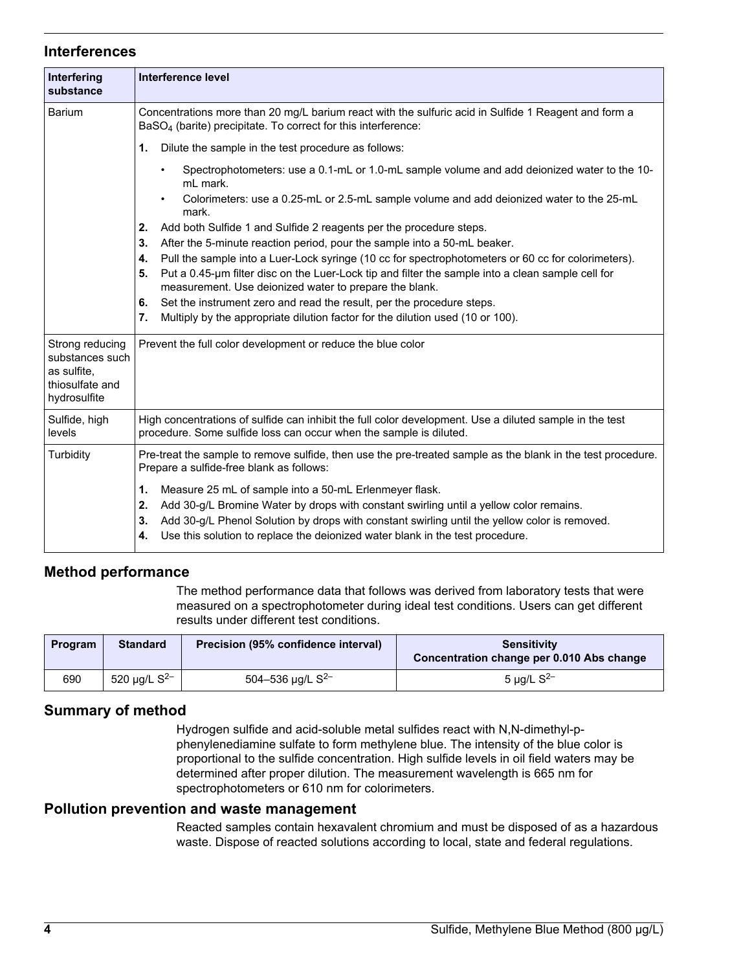#### **Interferences**

| Interfering<br>substance                                                             | Interference level                                                                                                                                                                                                                                                                                                                                         |
|--------------------------------------------------------------------------------------|------------------------------------------------------------------------------------------------------------------------------------------------------------------------------------------------------------------------------------------------------------------------------------------------------------------------------------------------------------|
| <b>Barium</b>                                                                        | Concentrations more than 20 mg/L barium react with the sulfuric acid in Sulfide 1 Reagent and form a<br>BaSO <sub>4</sub> (barite) precipitate. To correct for this interference:                                                                                                                                                                          |
|                                                                                      | Dilute the sample in the test procedure as follows:<br>1.                                                                                                                                                                                                                                                                                                  |
|                                                                                      | Spectrophotometers: use a 0.1-mL or 1.0-mL sample volume and add deionized water to the 10-<br>٠<br>mL mark.                                                                                                                                                                                                                                               |
|                                                                                      | Colorimeters: use a 0.25-mL or 2.5-mL sample volume and add deionized water to the 25-mL<br>mark.                                                                                                                                                                                                                                                          |
|                                                                                      | Add both Sulfide 1 and Sulfide 2 reagents per the procedure steps.<br>2.                                                                                                                                                                                                                                                                                   |
|                                                                                      | 3.<br>After the 5-minute reaction period, pour the sample into a 50-mL beaker.                                                                                                                                                                                                                                                                             |
|                                                                                      | Pull the sample into a Luer-Lock syringe (10 cc for spectrophotometers or 60 cc for colorimeters).<br>4.                                                                                                                                                                                                                                                   |
|                                                                                      | Put a 0.45-µm filter disc on the Luer-Lock tip and filter the sample into a clean sample cell for<br>5.<br>measurement. Use deionized water to prepare the blank.                                                                                                                                                                                          |
|                                                                                      | Set the instrument zero and read the result, per the procedure steps.<br>6.                                                                                                                                                                                                                                                                                |
|                                                                                      | Multiply by the appropriate dilution factor for the dilution used (10 or 100).<br>7.                                                                                                                                                                                                                                                                       |
| Strong reducing<br>substances such<br>as sulfite,<br>thiosulfate and<br>hydrosulfite | Prevent the full color development or reduce the blue color                                                                                                                                                                                                                                                                                                |
| Sulfide, high<br>levels                                                              | High concentrations of sulfide can inhibit the full color development. Use a diluted sample in the test<br>procedure. Some sulfide loss can occur when the sample is diluted.                                                                                                                                                                              |
| Turbidity                                                                            | Pre-treat the sample to remove sulfide, then use the pre-treated sample as the blank in the test procedure.<br>Prepare a sulfide-free blank as follows:                                                                                                                                                                                                    |
|                                                                                      | Measure 25 mL of sample into a 50-mL Erlenmeyer flask.<br>1.<br>2.<br>Add 30-g/L Bromine Water by drops with constant swirling until a yellow color remains.<br>Add 30-g/L Phenol Solution by drops with constant swirling until the yellow color is removed.<br>3.<br>Use this solution to replace the deionized water blank in the test procedure.<br>4. |

#### **Method performance**

The method performance data that follows was derived from laboratory tests that were measured on a spectrophotometer during ideal test conditions. Users can get different results under different test conditions.

| Program | <b>Standard</b>   | Precision (95% confidence interval) | <b>Sensitivity</b><br>Concentration change per 0.010 Abs change |
|---------|-------------------|-------------------------------------|-----------------------------------------------------------------|
| 690     | 520 µg/L $S^{2-}$ | 504-536 $\mu$ g/L S <sup>2-</sup>   | 5 µg/L $S^{2-}$                                                 |

#### **Summary of method**

Hydrogen sulfide and acid-soluble metal sulfides react with N,N-dimethyl-pphenylenediamine sulfate to form methylene blue. The intensity of the blue color is proportional to the sulfide concentration. High sulfide levels in oil field waters may be determined after proper dilution. The measurement wavelength is 665 nm for spectrophotometers or 610 nm for colorimeters.

#### **Pollution prevention and waste management**

Reacted samples contain hexavalent chromium and must be disposed of as a hazardous waste. Dispose of reacted solutions according to local, state and federal regulations.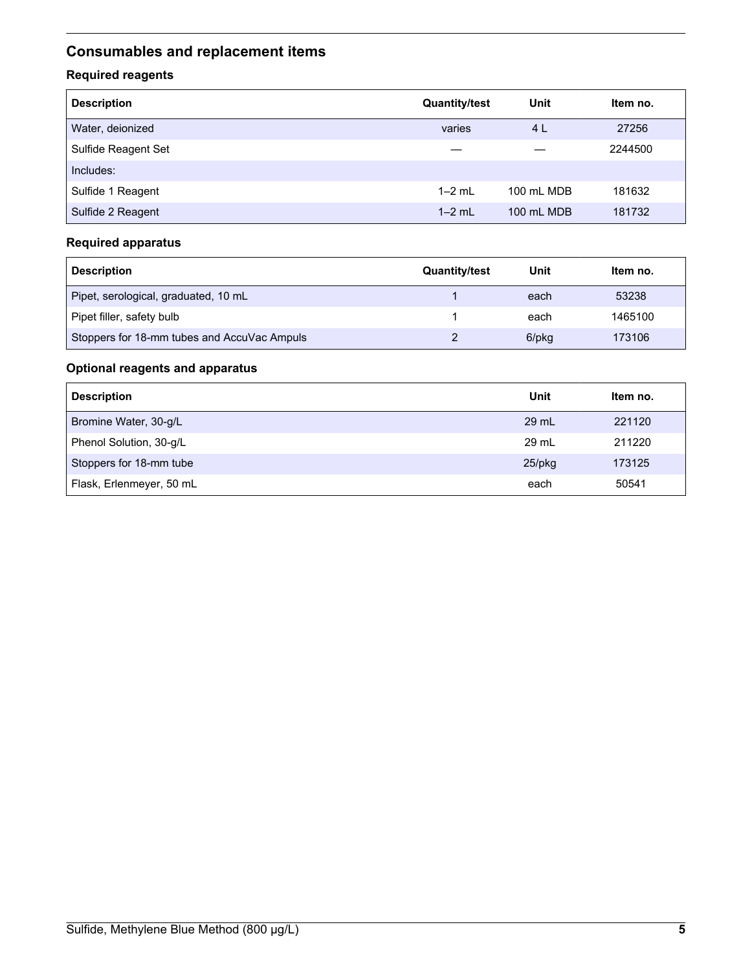# <span id="page-4-0"></span>**Consumables and replacement items**

### **Required reagents**

| <b>Description</b>  | <b>Quantity/test</b> | Unit       | Item no. |
|---------------------|----------------------|------------|----------|
| Water, deionized    | varies               | 4 L        | 27256    |
| Sulfide Reagent Set |                      |            | 2244500  |
| Includes:           |                      |            |          |
| Sulfide 1 Reagent   | $1-2$ mL             | 100 mL MDB | 181632   |
| Sulfide 2 Reagent   | $1-2$ mL             | 100 mL MDB | 181732   |

#### **Required apparatus**

| <b>Description</b>                          | <b>Quantity/test</b> | Unit  | Item no. |
|---------------------------------------------|----------------------|-------|----------|
| Pipet, serological, graduated, 10 mL        |                      | each  | 53238    |
| Pipet filler, safety bulb                   |                      | each  | 1465100  |
| Stoppers for 18-mm tubes and AccuVac Ampuls |                      | 6/pkg | 173106   |

### **Optional reagents and apparatus**

| <b>Description</b>       | Unit      | Item no. |
|--------------------------|-----------|----------|
| Bromine Water, 30-g/L    | 29 mL     | 221120   |
| Phenol Solution, 30-g/L  | 29 ml     | 211220   |
| Stoppers for 18-mm tube  | $25$ /pkg | 173125   |
| Flask, Erlenmeyer, 50 mL | each      | 50541    |